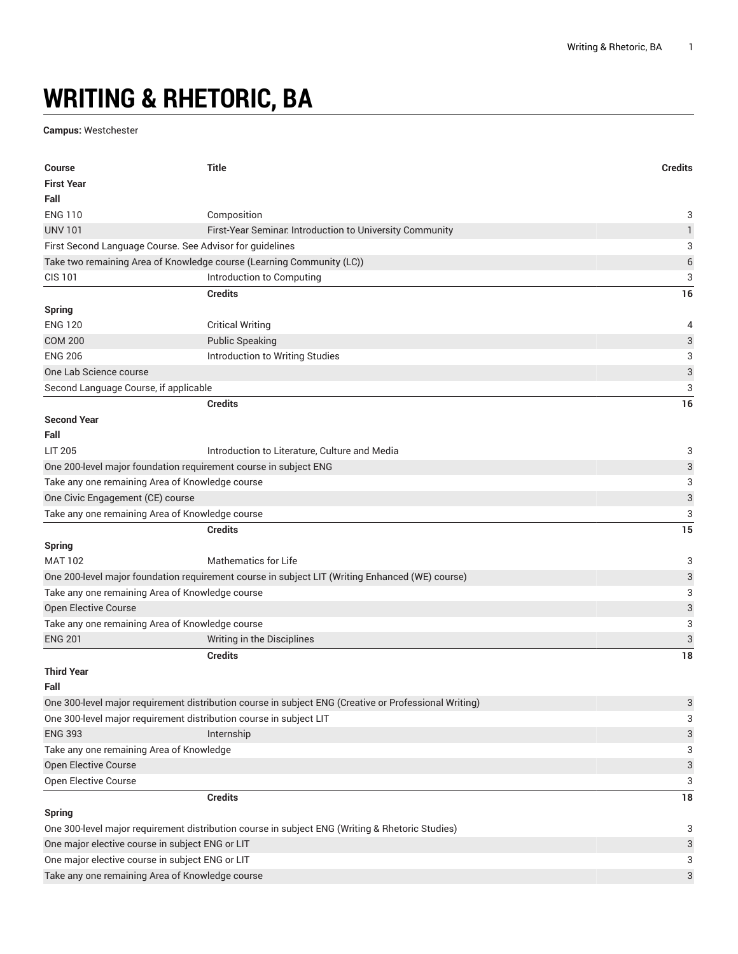## **WRITING & RHETORIC, BA**

**Campus:** Westchester

| <b>Course</b>                                                                                                       | <b>Title</b>                                                                                          | <b>Credits</b>            |
|---------------------------------------------------------------------------------------------------------------------|-------------------------------------------------------------------------------------------------------|---------------------------|
| <b>First Year</b>                                                                                                   |                                                                                                       |                           |
| Fall                                                                                                                |                                                                                                       |                           |
| <b>ENG 110</b>                                                                                                      | Composition                                                                                           | 3                         |
| <b>UNV 101</b>                                                                                                      | First-Year Seminar. Introduction to University Community                                              | $\mathbf{1}$              |
| First Second Language Course. See Advisor for guidelines                                                            |                                                                                                       | 3                         |
|                                                                                                                     | Take two remaining Area of Knowledge course (Learning Community (LC))                                 | $\boldsymbol{6}$          |
| <b>CIS 101</b>                                                                                                      | Introduction to Computing                                                                             | 3                         |
|                                                                                                                     | <b>Credits</b>                                                                                        | 16                        |
| <b>Spring</b>                                                                                                       |                                                                                                       |                           |
| <b>ENG 120</b>                                                                                                      | <b>Critical Writing</b>                                                                               | 4                         |
| <b>COM 200</b>                                                                                                      | <b>Public Speaking</b>                                                                                | 3                         |
| <b>ENG 206</b>                                                                                                      | Introduction to Writing Studies                                                                       | 3                         |
| One Lab Science course                                                                                              |                                                                                                       | $\ensuremath{\mathsf{3}}$ |
| Second Language Course, if applicable                                                                               |                                                                                                       | 3                         |
|                                                                                                                     | <b>Credits</b>                                                                                        | 16                        |
| <b>Second Year</b>                                                                                                  |                                                                                                       |                           |
| Fall                                                                                                                |                                                                                                       |                           |
|                                                                                                                     |                                                                                                       |                           |
| LIT 205                                                                                                             | Introduction to Literature, Culture and Media                                                         | 3                         |
| One 200-level major foundation requirement course in subject ENG<br>Take any one remaining Area of Knowledge course |                                                                                                       | 3<br>3                    |
| One Civic Engagement (CE) course                                                                                    |                                                                                                       |                           |
|                                                                                                                     |                                                                                                       | $\ensuremath{\mathsf{3}}$ |
| Take any one remaining Area of Knowledge course                                                                     |                                                                                                       | 3                         |
| <b>Spring</b>                                                                                                       | <b>Credits</b>                                                                                        | 15                        |
| <b>MAT 102</b>                                                                                                      | <b>Mathematics for Life</b>                                                                           | 3                         |
|                                                                                                                     | One 200-level major foundation requirement course in subject LIT (Writing Enhanced (WE) course)       | 3                         |
| Take any one remaining Area of Knowledge course                                                                     |                                                                                                       | 3                         |
| Open Elective Course                                                                                                |                                                                                                       | $\ensuremath{\mathsf{3}}$ |
| Take any one remaining Area of Knowledge course                                                                     |                                                                                                       | 3                         |
| <b>ENG 201</b>                                                                                                      | Writing in the Disciplines                                                                            | 3                         |
|                                                                                                                     | <b>Credits</b>                                                                                        | 18                        |
| <b>Third Year</b>                                                                                                   |                                                                                                       |                           |
| Fall                                                                                                                |                                                                                                       |                           |
|                                                                                                                     | One 300-level major requirement distribution course in subject ENG (Creative or Professional Writing) | 3                         |
| One 300-level major requirement distribution course in subject LIT                                                  |                                                                                                       | 3                         |
| <b>ENG 393</b>                                                                                                      | Internship                                                                                            | 3                         |
| Take any one remaining Area of Knowledge                                                                            |                                                                                                       | 3                         |
| Open Elective Course                                                                                                |                                                                                                       | $\ensuremath{\mathsf{3}}$ |
| Open Elective Course                                                                                                |                                                                                                       | 3                         |
|                                                                                                                     | <b>Credits</b>                                                                                        | 18                        |
| <b>Spring</b>                                                                                                       |                                                                                                       |                           |
| One 300-level major requirement distribution course in subject ENG (Writing & Rhetoric Studies)                     |                                                                                                       |                           |
| One major elective course in subject ENG or LIT                                                                     |                                                                                                       |                           |
| One major elective course in subject ENG or LIT                                                                     |                                                                                                       |                           |
| Take any one remaining Area of Knowledge course                                                                     |                                                                                                       | 3<br>3                    |